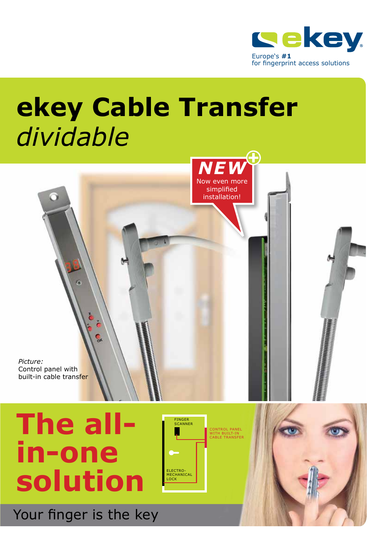

# **ekey Cable Transfer**  *dividable*



# **The allin-one solution**

Your finger is the key



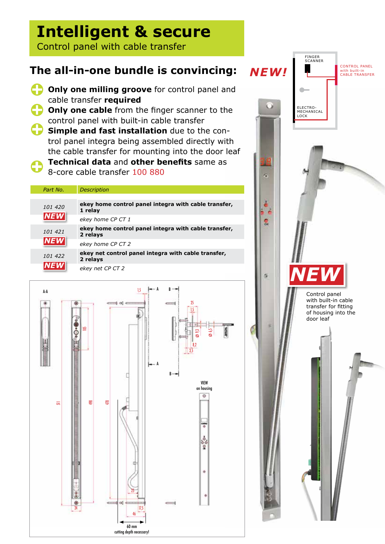# **Intelligent & secure**

Control panel with cable transfer

## **The all-in-one bundle is convincing:**

- **Conly one milling groove** for control panel and cable transfer **required**
- **Conly one cable** from the finger scanner to the control panel with built-in cable transfer
- **Simple and fast installation** due to the control panel integra being assembled directly with the cable transfer for mounting into the door leaf
- **Technical data** and **other benefits** same as G 8-core cable transfer 100 880

| Part No.   | <b>Description</b>                                               |
|------------|------------------------------------------------------------------|
|            |                                                                  |
| 101 420    | ekey home control panel integra with cable transfer,<br>1 relay  |
| NEW        | ekey home CP CT 1                                                |
| 101 421    | ekey home control panel integra with cable transfer,<br>2 relays |
| <b>NEW</b> | ekey home CP CT 2                                                |
| 101 422    | ekey net control panel integra with cable transfer,<br>2 relays  |
| <b>NEW</b> | ekey net CP CT 2                                                 |



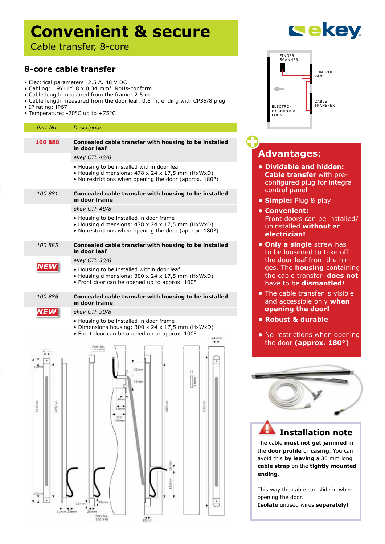## **Convenient & secure**

Cable transfer, 8-core

### **8-core cable transfer**

- Electrical parameters: 2.5 A. 48 V DC
- Cabling: Li9Y11Y, 8 x 0.34 mm2, RoHs-conform
- Cable length measured from the frame: 2.5 m
- Cable length measured from the door leaf: 0.8 m, ending with CP35/8 plug
- IP rating: IP67
- Temperature: -20°C up to +75°C

#### *Part No. Description*

| 100 880       | Concealed cable transfer with housing to be installed<br>in door leaf                                                                                             |
|---------------|-------------------------------------------------------------------------------------------------------------------------------------------------------------------|
|               | ekey CTL 48/8                                                                                                                                                     |
|               | • Housing to be installed within door leaf<br>• Housing dimensions: 478 x 24 x 17,5 mm (HxWxD)<br>• No restrictions when opening the door (approx. 180°)          |
| 100 881       | Concealed cable transfer with housing to be installed<br>in door frame                                                                                            |
|               | ekey CTF 48/8                                                                                                                                                     |
|               | • Housing to be installed in door frame<br>• Housing dimensions: 478 x 24 x 17,5 mm (HxWxD)<br>. No restrictions when opening the door (approx. 180°)             |
| 100 885       | Concealed cable transfer with housing to be installed<br>in door leaf                                                                                             |
|               | ekey CTL 30/8                                                                                                                                                     |
|               | • Housing to be installed within door leaf<br>• Housing dimensions: 300 x 24 x 17,5 mm (HxWxD)<br>• Front door can be opened up to approx. 100°                   |
| 100 886       | Concealed cable transfer with housing to be installed<br>in door frame                                                                                            |
|               | ekey CTF 30/8                                                                                                                                                     |
|               | • Housing to be installed in door frame<br>· Dimensions housing: 300 x 24 x 17,5 mm (HxWxD)<br>• Front door can be opened up to approx. 100°<br>24 mm<br>Part No. |
|               | nn ann                                                                                                                                                            |
|               |                                                                                                                                                                   |
|               | 32mm<br>11                                                                                                                                                        |
|               | 31mm                                                                                                                                                              |
|               |                                                                                                                                                                   |
|               | Gyrie                                                                                                                                                             |
| 78mm<br>512mm | 536mm<br>80mm<br>25 <sub>0</sub>                                                                                                                                  |
|               |                                                                                                                                                                   |
|               | 40 mw                                                                                                                                                             |
|               |                                                                                                                                                                   |
|               |                                                                                                                                                                   |
|               |                                                                                                                                                                   |
|               | mm                                                                                                                                                                |
|               |                                                                                                                                                                   |
|               |                                                                                                                                                                   |
|               | 10mm                                                                                                                                                              |
| 10mm          |                                                                                                                                                                   |
|               | 6mm<br>12 <sub>min</sub><br>                                                                                                                                      |
| 17mm 25mm     | 20mm<br>Part No.<br>100:090                                                                                                                                       |





## **Advantages:**

- **• Dividable and hidden: Cable transfer** with pre configured plug for integra control panel
- **• Simple:** Plug & play
- **• Convenient:** Front doors can be installed/ uninstalled **without** an **electrician!**
- **Only a single** screw has to be loosened to take off the door leaf from the hin ges. The **housing** containing the cable transfer **does not** have to be **dismantled!**
- The cable transfer is visible and accessible only **when opening the door!**
- **• Robust & durable**
- **•** No restrictions when opening the door **(approx. 180°)**



#### **Installation note !**

The cable **must not get jammed** in the **door profile** or **casing**. You can avoid this **by leaving** a 30 mm long **cable strap** on the **tightly mounted ending**.

This way the cable can slide in when opening the door. **Isolate** unused wires **separately**!